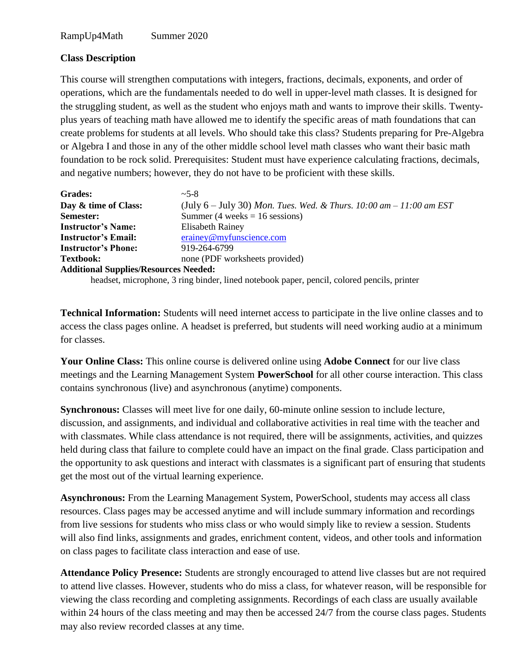## **Class Description**

This course will strengthen computations with integers, fractions, decimals, exponents, and order of operations, which are the fundamentals needed to do well in upper-level math classes. It is designed for the struggling student, as well as the student who enjoys math and wants to improve their skills. Twentyplus years of teaching math have allowed me to identify the specific areas of math foundations that can create problems for students at all levels. Who should take this class? Students preparing for Pre-Algebra or Algebra I and those in any of the other middle school level math classes who want their basic math foundation to be rock solid. Prerequisites: Student must have experience calculating fractions, decimals, and negative numbers; however, they do not have to be proficient with these skills.

| Grades:                                      | $~25-8$                                                                                    |
|----------------------------------------------|--------------------------------------------------------------------------------------------|
| Day & time of Class:                         | (July $6 -$ July 30) Mon. Tues. Wed. & Thurs. 10:00 am $- 11:00$ am EST                    |
| Semester:                                    | Summer (4 weeks = $16$ sessions)                                                           |
| <b>Instructor's Name:</b>                    | <b>Elisabeth Rainey</b>                                                                    |
| <b>Instructor's Email:</b>                   | erainey@myfunscience.com                                                                   |
| <b>Instructor's Phone:</b>                   | 919-264-6799                                                                               |
| <b>Textbook:</b>                             | none (PDF worksheets provided)                                                             |
| <b>Additional Supplies/Resources Needed:</b> |                                                                                            |
|                                              | headset, microphone, 3 ring binder, lined notebook paper, pencil, colored pencils, printer |

**Technical Information:** Students will need internet access to participate in the live online classes and to access the class pages online. A headset is preferred, but students will need working audio at a minimum for classes.

**Your Online Class:** This online course is delivered online using **Adobe Connect** for our live class meetings and the Learning Management System **PowerSchool** for all other course interaction. This class contains synchronous (live) and asynchronous (anytime) components.

**Synchronous:** Classes will meet live for one daily, 60-minute online session to include lecture, discussion, and assignments, and individual and collaborative activities in real time with the teacher and with classmates. While class attendance is not required, there will be assignments, activities, and quizzes held during class that failure to complete could have an impact on the final grade. Class participation and the opportunity to ask questions and interact with classmates is a significant part of ensuring that students get the most out of the virtual learning experience.

**Asynchronous:** From the Learning Management System, PowerSchool, students may access all class resources. Class pages may be accessed anytime and will include summary information and recordings from live sessions for students who miss class or who would simply like to review a session. Students will also find links, assignments and grades, enrichment content, videos, and other tools and information on class pages to facilitate class interaction and ease of use.

**Attendance Policy Presence:** Students are strongly encouraged to attend live classes but are not required to attend live classes. However, students who do miss a class, for whatever reason, will be responsible for viewing the class recording and completing assignments. Recordings of each class are usually available within 24 hours of the class meeting and may then be accessed 24/7 from the course class pages. Students may also review recorded classes at any time.